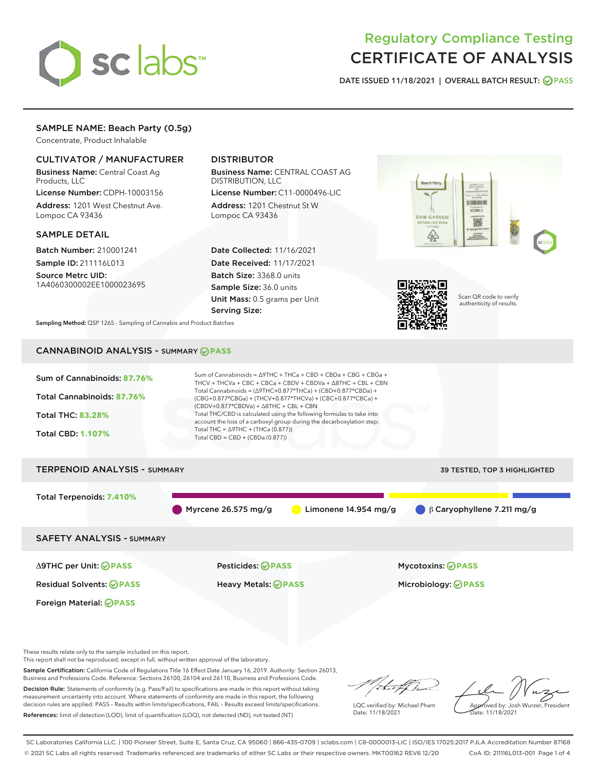

# Regulatory Compliance Testing CERTIFICATE OF ANALYSIS

DATE ISSUED 11/18/2021 | OVERALL BATCH RESULT: @ PASS

# SAMPLE NAME: Beach Party (0.5g)

Concentrate, Product Inhalable

# CULTIVATOR / MANUFACTURER

Business Name: Central Coast Ag Products, LLC

License Number: CDPH-10003156 Address: 1201 West Chestnut Ave. Lompoc CA 93436

#### SAMPLE DETAIL

Batch Number: 210001241 Sample ID: 211116L013

Source Metrc UID: 1A4060300002EE1000023695

# DISTRIBUTOR

Business Name: CENTRAL COAST AG DISTRIBUTION, LLC

License Number: C11-0000496-LIC Address: 1201 Chestnut St W Lompoc CA 93436

Date Collected: 11/16/2021 Date Received: 11/17/2021 Batch Size: 3368.0 units Sample Size: 36.0 units Unit Mass: 0.5 grams per Unit Serving Size:





Scan QR code to verify authenticity of results.

Sampling Method: QSP 1265 - Sampling of Cannabis and Product Batches

# CANNABINOID ANALYSIS - SUMMARY **PASS**



These results relate only to the sample included on this report.

This report shall not be reproduced, except in full, without written approval of the laboratory.

Sample Certification: California Code of Regulations Title 16 Effect Date January 16, 2019. Authority: Section 26013, Business and Professions Code. Reference: Sections 26100, 26104 and 26110, Business and Professions Code.

Decision Rule: Statements of conformity (e.g. Pass/Fail) to specifications are made in this report without taking measurement uncertainty into account. Where statements of conformity are made in this report, the following decision rules are applied: PASS – Results within limits/specifications, FAIL – Results exceed limits/specifications. References: limit of detection (LOD), limit of quantification (LOQ), not detected (ND), not tested (NT)

that f(ha

LQC verified by: Michael Pham Date: 11/18/2021

Approved by: Josh Wurzer, President ate: 11/18/2021

SC Laboratories California LLC. | 100 Pioneer Street, Suite E, Santa Cruz, CA 95060 | 866-435-0709 | sclabs.com | C8-0000013-LIC | ISO/IES 17025:2017 PJLA Accreditation Number 87168 © 2021 SC Labs all rights reserved. Trademarks referenced are trademarks of either SC Labs or their respective owners. MKT00162 REV6 12/20 CoA ID: 211116L013-001 Page 1 of 4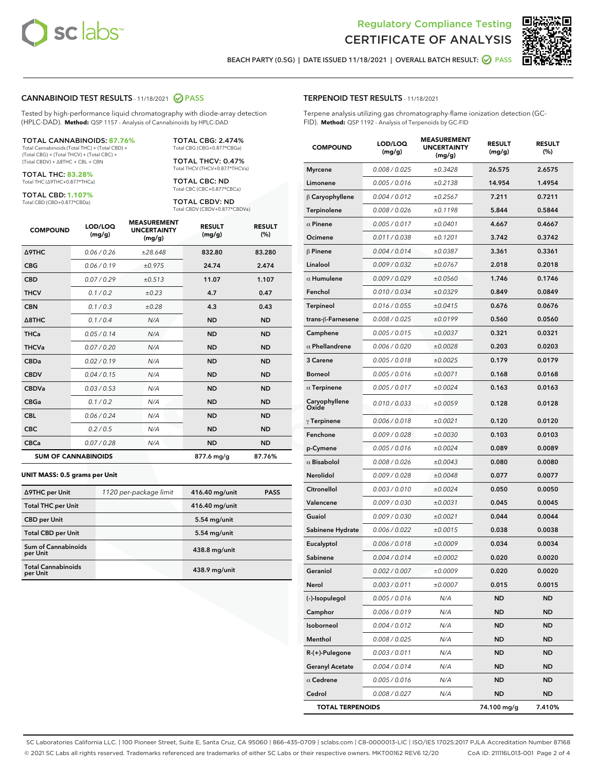

Terpene analysis utilizing gas chromatography-flame ionization detection (GC-



BEACH PARTY (0.5G) | DATE ISSUED 11/18/2021 | OVERALL BATCH RESULT:  $\bigcirc$  PASS

TERPENOID TEST RESULTS - 11/18/2021

FID). **Method:** QSP 1192 - Analysis of Terpenoids by GC-FID

### CANNABINOID TEST RESULTS - 11/18/2021 2 PASS

Tested by high-performance liquid chromatography with diode-array detection (HPLC-DAD). **Method:** QSP 1157 - Analysis of Cannabinoids by HPLC-DAD

#### TOTAL CANNABINOIDS: **87.76%**

Total Cannabinoids (Total THC) + (Total CBD) + (Total CBG) + (Total THCV) + (Total CBC) + (Total CBDV) + ∆8THC + CBL + CBN

TOTAL THC: **83.28%** Total THC (∆9THC+0.877\*THCa)

TOTAL CBD: **1.107%**

Total CBD (CBD+0.877\*CBDa)

TOTAL CBG: 2.474% Total CBG (CBG+0.877\*CBGa)

TOTAL THCV: 0.47% Total THCV (THCV+0.877\*THCVa)

TOTAL CBC: ND Total CBC (CBC+0.877\*CBCa)

TOTAL CBDV: ND Total CBDV (CBDV+0.877\*CBDVa)

| <b>COMPOUND</b>            | LOD/LOQ<br>(mg/g) | <b>MEASUREMENT</b><br><b>UNCERTAINTY</b><br>(mg/g) | <b>RESULT</b><br>(mg/g) | <b>RESULT</b><br>(%) |
|----------------------------|-------------------|----------------------------------------------------|-------------------------|----------------------|
| <b>A9THC</b>               | 0.06 / 0.26       | ±28.648                                            | 832.80                  | 83.280               |
| <b>CBG</b>                 | 0.06 / 0.19       | ±0.975                                             | 24.74                   | 2.474                |
| <b>CBD</b>                 | 0.07/0.29         | ±0.513                                             | 11.07                   | 1.107                |
| <b>THCV</b>                | 0.1/0.2           | $\pm 0.23$                                         | 4.7                     | 0.47                 |
| <b>CBN</b>                 | 0.1/0.3           | ±0.28                                              | 4.3                     | 0.43                 |
| $\triangle$ 8THC           | 0.1/0.4           | N/A                                                | <b>ND</b>               | <b>ND</b>            |
| <b>THCa</b>                | 0.05/0.14         | N/A                                                | <b>ND</b>               | <b>ND</b>            |
| <b>THCVa</b>               | 0.07/0.20         | N/A                                                | <b>ND</b>               | <b>ND</b>            |
| <b>CBDa</b>                | 0.02/0.19         | N/A                                                | <b>ND</b>               | <b>ND</b>            |
| <b>CBDV</b>                | 0.04 / 0.15       | N/A                                                | <b>ND</b>               | <b>ND</b>            |
| <b>CBDVa</b>               | 0.03/0.53         | N/A                                                | <b>ND</b>               | <b>ND</b>            |
| <b>CBGa</b>                | 0.1 / 0.2         | N/A                                                | <b>ND</b>               | <b>ND</b>            |
| <b>CBL</b>                 | 0.06 / 0.24       | N/A                                                | <b>ND</b>               | <b>ND</b>            |
| <b>CBC</b>                 | 0.2 / 0.5         | N/A                                                | <b>ND</b>               | <b>ND</b>            |
| <b>CBCa</b>                | 0.07/0.28         | N/A                                                | <b>ND</b>               | <b>ND</b>            |
| <b>SUM OF CANNABINOIDS</b> |                   |                                                    | 877.6 mg/g              | 87.76%               |

#### **UNIT MASS: 0.5 grams per Unit**

| ∆9THC per Unit                         | 1120 per-package limit | 416.40 mg/unit | <b>PASS</b> |
|----------------------------------------|------------------------|----------------|-------------|
| <b>Total THC per Unit</b>              |                        | 416.40 mg/unit |             |
| <b>CBD</b> per Unit                    |                        | $5.54$ mg/unit |             |
| <b>Total CBD per Unit</b>              |                        | $5.54$ mg/unit |             |
| <b>Sum of Cannabinoids</b><br>per Unit |                        | 438.8 mg/unit  |             |
| <b>Total Cannabinoids</b><br>per Unit  |                        | 438.9 mg/unit  |             |

| <b>COMPOUND</b>         | LOD/LOQ<br>(mg/g) | <b>MEASUREMENT</b><br><b>UNCERTAINTY</b><br>(mq/q) | <b>RESULT</b><br>(mg/g) | <b>RESULT</b><br>(%) |
|-------------------------|-------------------|----------------------------------------------------|-------------------------|----------------------|
| <b>Myrcene</b>          | 0.008 / 0.025     | ±0.3428                                            | 26.575                  | 2.6575               |
| Limonene                | 0.005 / 0.016     | ±0.2138                                            | 14.954                  | 1.4954               |
| β Caryophyllene         | 0.004 / 0.012     | ±0.2567                                            | 7.211                   | 0.7211               |
| Terpinolene             | 0.008 / 0.026     | ±0.1198                                            | 5.844                   | 0.5844               |
| $\alpha$ Pinene         | 0.005 / 0.017     | ±0.0401                                            | 4.667                   | 0.4667               |
| Ocimene                 | 0.011/0.038       | ±0.1201                                            | 3.742                   | 0.3742               |
| $\beta$ Pinene          | 0.004 / 0.014     | ±0.0387                                            | 3.361                   | 0.3361               |
| Linalool                | 0.009 / 0.032     | ±0.0767                                            | 2.018                   | 0.2018               |
| $\alpha$ Humulene       | 0.009 / 0.029     | ±0.0560                                            | 1.746                   | 0.1746               |
| Fenchol                 | 0.010 / 0.034     | ±0.0329                                            | 0.849                   | 0.0849               |
| Terpineol               | 0.016 / 0.055     | ±0.0415                                            | 0.676                   | 0.0676               |
| trans-β-Farnesene       | 0.008 / 0.025     | ±0.0199                                            | 0.560                   | 0.0560               |
| Camphene                | 0.005 / 0.015     | ±0.0037                                            | 0.321                   | 0.0321               |
| $\alpha$ Phellandrene   | 0.006 / 0.020     | ±0.0028                                            | 0.203                   | 0.0203               |
| 3 Carene                | 0.005 / 0.018     | ±0.0025                                            | 0.179                   | 0.0179               |
| <b>Borneol</b>          | 0.005 / 0.016     | ±0.0071                                            | 0.168                   | 0.0168               |
| $\alpha$ Terpinene      | 0.005 / 0.017     | ±0.0024                                            | 0.163                   | 0.0163               |
| Caryophyllene<br>Oxide  | 0.010 / 0.033     | ±0.0059                                            | 0.128                   | 0.0128               |
| $\gamma$ Terpinene      | 0.006 / 0.018     | ±0.0021                                            | 0.120                   | 0.0120               |
| Fenchone                | 0.009 / 0.028     | ±0.0030                                            | 0.103                   | 0.0103               |
| p-Cymene                | 0.005 / 0.016     | ±0.0024                                            | 0.089                   | 0.0089               |
| $\alpha$ Bisabolol      | 0.008 / 0.026     | ±0.0043                                            | 0.080                   | 0.0080               |
| Nerolidol               | 0.009 / 0.028     | ±0.0048                                            | 0.077                   | 0.0077               |
| Citronellol             | 0.003 / 0.010     | ±0.0024                                            | 0.050                   | 0.0050               |
| Valencene               | 0.009 / 0.030     | ±0.0031                                            | 0.045                   | 0.0045               |
| Guaiol                  | 0.009 / 0.030     | ±0.0021                                            | 0.044                   | 0.0044               |
| Sabinene Hydrate        | 0.006 / 0.022     | ±0.0015                                            | 0.038                   | 0.0038               |
| Eucalyptol              | 0.006 / 0.018     | ±0.0009                                            | 0.034                   | 0.0034               |
| Sabinene                | 0.004 / 0.014     | ±0.0002                                            | 0.020                   | 0.0020               |
| Geraniol                | 0.002 / 0.007     | ±0.0009                                            | 0.020                   | 0.0020               |
| Nerol                   | 0.003 / 0.011     | ±0.0007                                            | 0.015                   | 0.0015               |
| (-)-Isopulegol          | 0.005 / 0.016     | N/A                                                | <b>ND</b>               | ND                   |
| Camphor                 | 0.006 / 0.019     | N/A                                                | ND                      | ND                   |
| Isoborneol              | 0.004 / 0.012     | N/A                                                | ND                      | ND                   |
| Menthol                 | 0.008 / 0.025     | N/A                                                | <b>ND</b>               | ND                   |
| R-(+)-Pulegone          | 0.003 / 0.011     | N/A                                                | ND                      | ND                   |
| <b>Geranyl Acetate</b>  | 0.004 / 0.014     | N/A                                                | <b>ND</b>               | ND                   |
| $\alpha$ Cedrene        | 0.005 / 0.016     | N/A                                                | ND                      | ND                   |
| Cedrol                  | 0.008 / 0.027     | N/A                                                | ND                      | ND                   |
| <b>TOTAL TERPENOIDS</b> |                   |                                                    | 74.100 mg/g             | 7.410%               |

SC Laboratories California LLC. | 100 Pioneer Street, Suite E, Santa Cruz, CA 95060 | 866-435-0709 | sclabs.com | C8-0000013-LIC | ISO/IES 17025:2017 PJLA Accreditation Number 87168 © 2021 SC Labs all rights reserved. Trademarks referenced are trademarks of either SC Labs or their respective owners. MKT00162 REV6 12/20 CoA ID: 211116L013-001 Page 2 of 4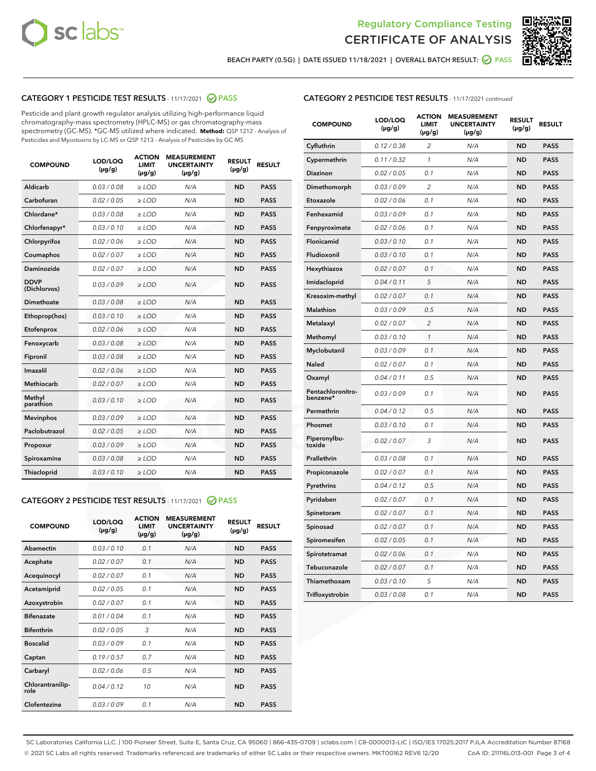



BEACH PARTY (0.5G) | DATE ISSUED 11/18/2021 | OVERALL BATCH RESULT: 2 PASS

# CATEGORY 1 PESTICIDE TEST RESULTS - 11/17/2021 2 PASS

Pesticide and plant growth regulator analysis utilizing high-performance liquid chromatography-mass spectrometry (HPLC-MS) or gas chromatography-mass spectrometry (GC-MS). \*GC-MS utilized where indicated. **Method:** QSP 1212 - Analysis of Pesticides and Mycotoxins by LC-MS or QSP 1213 - Analysis of Pesticides by GC-MS

| 0.03/0.08<br><b>ND</b><br>Aldicarb<br>$>$ LOD<br>N/A<br><b>PASS</b><br>Carbofuran<br>0.02 / 0.05<br><b>ND</b><br><b>PASS</b><br>$>$ LOD<br>N/A<br>Chlordane*<br>0.03 / 0.08<br>N/A<br><b>ND</b><br><b>PASS</b><br>$\ge$ LOD<br>Chlorfenapyr*<br>0.03/0.10<br><b>ND</b><br><b>PASS</b><br>$\ge$ LOD<br>N/A<br>N/A<br><b>ND</b><br><b>PASS</b><br>Chlorpyrifos<br>0.02 / 0.06<br>$\ge$ LOD<br>Coumaphos<br>0.02 / 0.07<br>N/A<br><b>ND</b><br><b>PASS</b><br>$\ge$ LOD<br>Daminozide<br>0.02 / 0.07<br>N/A<br><b>ND</b><br><b>PASS</b><br>$\ge$ LOD<br><b>DDVP</b><br>0.03/0.09<br>$>$ LOD<br>N/A<br><b>ND</b><br><b>PASS</b><br>(Dichlorvos)<br>Dimethoate<br>0.03/0.08<br>$>$ LOD<br>N/A<br><b>ND</b><br><b>PASS</b><br>0.03/0.10<br><b>ND</b><br><b>PASS</b><br>Ethoprop(hos)<br>$\ge$ LOD<br>N/A<br>0.02 / 0.06<br>N/A<br><b>ND</b><br><b>PASS</b><br>Etofenprox<br>$\ge$ LOD<br>Fenoxycarb<br>0.03 / 0.08<br>N/A<br><b>ND</b><br><b>PASS</b><br>$\ge$ LOD<br>0.03/0.08<br><b>ND</b><br><b>PASS</b><br>Fipronil<br>$\ge$ LOD<br>N/A<br>Imazalil<br>0.02 / 0.06<br>$\ge$ LOD<br>N/A<br><b>ND</b><br><b>PASS</b><br>Methiocarb<br>0.02 / 0.07<br><b>PASS</b><br>$\ge$ LOD<br>N/A<br><b>ND</b><br>Methyl<br>0.03/0.10<br>$\ge$ LOD<br>N/A<br><b>ND</b><br><b>PASS</b><br>parathion<br>0.03/0.09<br><b>ND</b><br><b>Mevinphos</b><br>$\ge$ LOD<br>N/A<br><b>PASS</b><br>Paclobutrazol<br>0.02 / 0.05<br>$\ge$ LOD<br>N/A<br><b>ND</b><br><b>PASS</b><br>0.03/0.09<br>$\ge$ LOD<br>N/A<br><b>ND</b><br><b>PASS</b><br>Propoxur<br>Spiroxamine<br>0.03 / 0.08<br>$\ge$ LOD<br>N/A<br><b>ND</b><br><b>PASS</b><br>0.03/0.10<br><b>ND</b><br><b>PASS</b><br><b>Thiacloprid</b><br>$\ge$ LOD<br>N/A | <b>COMPOUND</b> | LOD/LOQ<br>$(\mu g/g)$ | <b>ACTION</b><br>LIMIT<br>$(\mu g/g)$ | <b>MEASUREMENT</b><br><b>UNCERTAINTY</b><br>$(\mu g/g)$ | <b>RESULT</b><br>$(\mu g/g)$ | <b>RESULT</b> |
|----------------------------------------------------------------------------------------------------------------------------------------------------------------------------------------------------------------------------------------------------------------------------------------------------------------------------------------------------------------------------------------------------------------------------------------------------------------------------------------------------------------------------------------------------------------------------------------------------------------------------------------------------------------------------------------------------------------------------------------------------------------------------------------------------------------------------------------------------------------------------------------------------------------------------------------------------------------------------------------------------------------------------------------------------------------------------------------------------------------------------------------------------------------------------------------------------------------------------------------------------------------------------------------------------------------------------------------------------------------------------------------------------------------------------------------------------------------------------------------------------------------------------------------------------------------------------------------------------------------------------------------------------------------------------------------------|-----------------|------------------------|---------------------------------------|---------------------------------------------------------|------------------------------|---------------|
|                                                                                                                                                                                                                                                                                                                                                                                                                                                                                                                                                                                                                                                                                                                                                                                                                                                                                                                                                                                                                                                                                                                                                                                                                                                                                                                                                                                                                                                                                                                                                                                                                                                                                              |                 |                        |                                       |                                                         |                              |               |
|                                                                                                                                                                                                                                                                                                                                                                                                                                                                                                                                                                                                                                                                                                                                                                                                                                                                                                                                                                                                                                                                                                                                                                                                                                                                                                                                                                                                                                                                                                                                                                                                                                                                                              |                 |                        |                                       |                                                         |                              |               |
|                                                                                                                                                                                                                                                                                                                                                                                                                                                                                                                                                                                                                                                                                                                                                                                                                                                                                                                                                                                                                                                                                                                                                                                                                                                                                                                                                                                                                                                                                                                                                                                                                                                                                              |                 |                        |                                       |                                                         |                              |               |
|                                                                                                                                                                                                                                                                                                                                                                                                                                                                                                                                                                                                                                                                                                                                                                                                                                                                                                                                                                                                                                                                                                                                                                                                                                                                                                                                                                                                                                                                                                                                                                                                                                                                                              |                 |                        |                                       |                                                         |                              |               |
|                                                                                                                                                                                                                                                                                                                                                                                                                                                                                                                                                                                                                                                                                                                                                                                                                                                                                                                                                                                                                                                                                                                                                                                                                                                                                                                                                                                                                                                                                                                                                                                                                                                                                              |                 |                        |                                       |                                                         |                              |               |
|                                                                                                                                                                                                                                                                                                                                                                                                                                                                                                                                                                                                                                                                                                                                                                                                                                                                                                                                                                                                                                                                                                                                                                                                                                                                                                                                                                                                                                                                                                                                                                                                                                                                                              |                 |                        |                                       |                                                         |                              |               |
|                                                                                                                                                                                                                                                                                                                                                                                                                                                                                                                                                                                                                                                                                                                                                                                                                                                                                                                                                                                                                                                                                                                                                                                                                                                                                                                                                                                                                                                                                                                                                                                                                                                                                              |                 |                        |                                       |                                                         |                              |               |
|                                                                                                                                                                                                                                                                                                                                                                                                                                                                                                                                                                                                                                                                                                                                                                                                                                                                                                                                                                                                                                                                                                                                                                                                                                                                                                                                                                                                                                                                                                                                                                                                                                                                                              |                 |                        |                                       |                                                         |                              |               |
|                                                                                                                                                                                                                                                                                                                                                                                                                                                                                                                                                                                                                                                                                                                                                                                                                                                                                                                                                                                                                                                                                                                                                                                                                                                                                                                                                                                                                                                                                                                                                                                                                                                                                              |                 |                        |                                       |                                                         |                              |               |
|                                                                                                                                                                                                                                                                                                                                                                                                                                                                                                                                                                                                                                                                                                                                                                                                                                                                                                                                                                                                                                                                                                                                                                                                                                                                                                                                                                                                                                                                                                                                                                                                                                                                                              |                 |                        |                                       |                                                         |                              |               |
|                                                                                                                                                                                                                                                                                                                                                                                                                                                                                                                                                                                                                                                                                                                                                                                                                                                                                                                                                                                                                                                                                                                                                                                                                                                                                                                                                                                                                                                                                                                                                                                                                                                                                              |                 |                        |                                       |                                                         |                              |               |
|                                                                                                                                                                                                                                                                                                                                                                                                                                                                                                                                                                                                                                                                                                                                                                                                                                                                                                                                                                                                                                                                                                                                                                                                                                                                                                                                                                                                                                                                                                                                                                                                                                                                                              |                 |                        |                                       |                                                         |                              |               |
|                                                                                                                                                                                                                                                                                                                                                                                                                                                                                                                                                                                                                                                                                                                                                                                                                                                                                                                                                                                                                                                                                                                                                                                                                                                                                                                                                                                                                                                                                                                                                                                                                                                                                              |                 |                        |                                       |                                                         |                              |               |
|                                                                                                                                                                                                                                                                                                                                                                                                                                                                                                                                                                                                                                                                                                                                                                                                                                                                                                                                                                                                                                                                                                                                                                                                                                                                                                                                                                                                                                                                                                                                                                                                                                                                                              |                 |                        |                                       |                                                         |                              |               |
|                                                                                                                                                                                                                                                                                                                                                                                                                                                                                                                                                                                                                                                                                                                                                                                                                                                                                                                                                                                                                                                                                                                                                                                                                                                                                                                                                                                                                                                                                                                                                                                                                                                                                              |                 |                        |                                       |                                                         |                              |               |
|                                                                                                                                                                                                                                                                                                                                                                                                                                                                                                                                                                                                                                                                                                                                                                                                                                                                                                                                                                                                                                                                                                                                                                                                                                                                                                                                                                                                                                                                                                                                                                                                                                                                                              |                 |                        |                                       |                                                         |                              |               |
|                                                                                                                                                                                                                                                                                                                                                                                                                                                                                                                                                                                                                                                                                                                                                                                                                                                                                                                                                                                                                                                                                                                                                                                                                                                                                                                                                                                                                                                                                                                                                                                                                                                                                              |                 |                        |                                       |                                                         |                              |               |
|                                                                                                                                                                                                                                                                                                                                                                                                                                                                                                                                                                                                                                                                                                                                                                                                                                                                                                                                                                                                                                                                                                                                                                                                                                                                                                                                                                                                                                                                                                                                                                                                                                                                                              |                 |                        |                                       |                                                         |                              |               |
|                                                                                                                                                                                                                                                                                                                                                                                                                                                                                                                                                                                                                                                                                                                                                                                                                                                                                                                                                                                                                                                                                                                                                                                                                                                                                                                                                                                                                                                                                                                                                                                                                                                                                              |                 |                        |                                       |                                                         |                              |               |
|                                                                                                                                                                                                                                                                                                                                                                                                                                                                                                                                                                                                                                                                                                                                                                                                                                                                                                                                                                                                                                                                                                                                                                                                                                                                                                                                                                                                                                                                                                                                                                                                                                                                                              |                 |                        |                                       |                                                         |                              |               |
|                                                                                                                                                                                                                                                                                                                                                                                                                                                                                                                                                                                                                                                                                                                                                                                                                                                                                                                                                                                                                                                                                                                                                                                                                                                                                                                                                                                                                                                                                                                                                                                                                                                                                              |                 |                        |                                       |                                                         |                              |               |

# CATEGORY 2 PESTICIDE TEST RESULTS - 11/17/2021 @ PASS

| <b>COMPOUND</b>          | LOD/LOQ<br>$(\mu g/g)$ | <b>ACTION</b><br>LIMIT<br>$(\mu g/g)$ | <b>MEASUREMENT</b><br><b>UNCERTAINTY</b><br>$(\mu g/g)$ | <b>RESULT</b><br>$(\mu g/g)$ | <b>RESULT</b> |
|--------------------------|------------------------|---------------------------------------|---------------------------------------------------------|------------------------------|---------------|
| Abamectin                | 0.03/0.10              | 0.1                                   | N/A                                                     | <b>ND</b>                    | <b>PASS</b>   |
| Acephate                 | 0.02/0.07              | 0.1                                   | N/A                                                     | <b>ND</b>                    | <b>PASS</b>   |
| Acequinocyl              | 0.02/0.07              | 0.1                                   | N/A                                                     | <b>ND</b>                    | <b>PASS</b>   |
| Acetamiprid              | 0.02 / 0.05            | 0.1                                   | N/A                                                     | <b>ND</b>                    | <b>PASS</b>   |
| Azoxystrobin             | 0.02/0.07              | 0.1                                   | N/A                                                     | <b>ND</b>                    | <b>PASS</b>   |
| <b>Bifenazate</b>        | 0.01/0.04              | 0.1                                   | N/A                                                     | <b>ND</b>                    | <b>PASS</b>   |
| <b>Bifenthrin</b>        | 0.02 / 0.05            | 3                                     | N/A                                                     | <b>ND</b>                    | <b>PASS</b>   |
| <b>Boscalid</b>          | 0.03/0.09              | 0.1                                   | N/A                                                     | <b>ND</b>                    | <b>PASS</b>   |
| Captan                   | 0.19/0.57              | 0.7                                   | N/A                                                     | <b>ND</b>                    | <b>PASS</b>   |
| Carbaryl                 | 0.02/0.06              | 0.5                                   | N/A                                                     | <b>ND</b>                    | <b>PASS</b>   |
| Chlorantranilip-<br>role | 0.04/0.12              | 10                                    | N/A                                                     | <b>ND</b>                    | <b>PASS</b>   |
| Clofentezine             | 0.03/0.09              | 0.1                                   | N/A                                                     | <b>ND</b>                    | <b>PASS</b>   |

# CATEGORY 2 PESTICIDE TEST RESULTS - 11/17/2021 continued

| <b>COMPOUND</b>               | LOD/LOQ<br>$(\mu g/g)$ | <b>ACTION</b><br>LIMIT<br>(µg/g) | <b>MEASUREMENT</b><br><b>UNCERTAINTY</b><br>(µg/g) | <b>RESULT</b><br>$(\mu g/g)$ | <b>RESULT</b> |
|-------------------------------|------------------------|----------------------------------|----------------------------------------------------|------------------------------|---------------|
| Cyfluthrin                    | 0.12 / 0.38            | $\overline{2}$                   | N/A                                                | <b>ND</b>                    | <b>PASS</b>   |
| Cypermethrin                  | 0.11/0.32              | 1                                | N/A                                                | <b>ND</b>                    | <b>PASS</b>   |
| Diazinon                      | 0.02 / 0.05            | 0.1                              | N/A                                                | <b>ND</b>                    | <b>PASS</b>   |
| Dimethomorph                  | 0.03 / 0.09            | $\overline{2}$                   | N/A                                                | <b>ND</b>                    | <b>PASS</b>   |
| Etoxazole                     | 0.02 / 0.06            | 0.1                              | N/A                                                | <b>ND</b>                    | <b>PASS</b>   |
| Fenhexamid                    | 0.03 / 0.09            | 0.1                              | N/A                                                | <b>ND</b>                    | <b>PASS</b>   |
| Fenpyroximate                 | 0.02 / 0.06            | 0.1                              | N/A                                                | <b>ND</b>                    | <b>PASS</b>   |
| Flonicamid                    | 0.03 / 0.10            | 0.1                              | N/A                                                | <b>ND</b>                    | <b>PASS</b>   |
| Fludioxonil                   | 0.03 / 0.10            | 0.1                              | N/A                                                | <b>ND</b>                    | <b>PASS</b>   |
| Hexythiazox                   | 0.02 / 0.07            | 0.1                              | N/A                                                | <b>ND</b>                    | <b>PASS</b>   |
| Imidacloprid                  | 0.04 / 0.11            | 5                                | N/A                                                | <b>ND</b>                    | <b>PASS</b>   |
| Kresoxim-methyl               | 0.02 / 0.07            | 0.1                              | N/A                                                | <b>ND</b>                    | <b>PASS</b>   |
| Malathion                     | 0.03 / 0.09            | 0.5                              | N/A                                                | <b>ND</b>                    | <b>PASS</b>   |
| Metalaxyl                     | 0.02 / 0.07            | $\overline{c}$                   | N/A                                                | <b>ND</b>                    | <b>PASS</b>   |
| Methomyl                      | 0.03 / 0.10            | 1                                | N/A                                                | <b>ND</b>                    | <b>PASS</b>   |
| Myclobutanil                  | 0.03 / 0.09            | 0.1                              | N/A                                                | <b>ND</b>                    | <b>PASS</b>   |
| Naled                         | 0.02 / 0.07            | 0.1                              | N/A                                                | <b>ND</b>                    | <b>PASS</b>   |
| Oxamyl                        | 0.04 / 0.11            | 0.5                              | N/A                                                | ND                           | <b>PASS</b>   |
| Pentachloronitro-<br>benzene* | 0.03 / 0.09            | 0.1                              | N/A                                                | <b>ND</b>                    | <b>PASS</b>   |
| Permethrin                    | 0.04 / 0.12            | 0.5                              | N/A                                                | <b>ND</b>                    | <b>PASS</b>   |
| Phosmet                       | 0.03 / 0.10            | 0.1                              | N/A                                                | <b>ND</b>                    | <b>PASS</b>   |
| Piperonylbu-<br>toxide        | 0.02 / 0.07            | 3                                | N/A                                                | <b>ND</b>                    | <b>PASS</b>   |
| Prallethrin                   | 0.03 / 0.08            | 0.1                              | N/A                                                | <b>ND</b>                    | <b>PASS</b>   |
| Propiconazole                 | 0.02 / 0.07            | 0.1                              | N/A                                                | <b>ND</b>                    | <b>PASS</b>   |
| Pyrethrins                    | 0.04 / 0.12            | 0.5                              | N/A                                                | <b>ND</b>                    | <b>PASS</b>   |
| Pyridaben                     | 0.02 / 0.07            | 0.1                              | N/A                                                | <b>ND</b>                    | <b>PASS</b>   |
| Spinetoram                    | 0.02 / 0.07            | 0.1                              | N/A                                                | <b>ND</b>                    | <b>PASS</b>   |
| Spinosad                      | 0.02 / 0.07            | 0.1                              | N/A                                                | <b>ND</b>                    | <b>PASS</b>   |
| Spiromesifen                  | 0.02 / 0.05            | 0.1                              | N/A                                                | ND                           | <b>PASS</b>   |
| Spirotetramat                 | 0.02 / 0.06            | 0.1                              | N/A                                                | <b>ND</b>                    | <b>PASS</b>   |
| Tebuconazole                  | 0.02 / 0.07            | 0.1                              | N/A                                                | <b>ND</b>                    | <b>PASS</b>   |
| Thiamethoxam                  | 0.03 / 0.10            | 5                                | N/A                                                | <b>ND</b>                    | <b>PASS</b>   |
| Trifloxystrobin               | 0.03 / 0.08            | 0.1                              | N/A                                                | <b>ND</b>                    | <b>PASS</b>   |

SC Laboratories California LLC. | 100 Pioneer Street, Suite E, Santa Cruz, CA 95060 | 866-435-0709 | sclabs.com | C8-0000013-LIC | ISO/IES 17025:2017 PJLA Accreditation Number 87168 © 2021 SC Labs all rights reserved. Trademarks referenced are trademarks of either SC Labs or their respective owners. MKT00162 REV6 12/20 CoA ID: 211116L013-001 Page 3 of 4